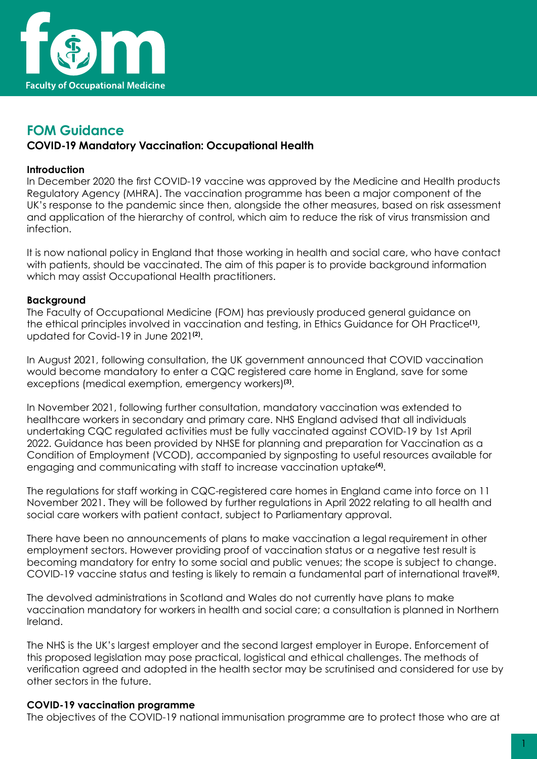

# **FOM Guidance**

# **COVID-19 Mandatory Vaccination: Occupational Health**

# **Introduction**

In December 2020 the first COVID-19 vaccine was approved by the Medicine and Health products Regulatory Agency (MHRA). The vaccination programme has been a major component of the UK's response to the pandemic since then, alongside the other measures, based on risk assessment and application of the hierarchy of control, which aim to reduce the risk of virus transmission and infection.

It is now national policy in England that those working in health and social care, who have contact with patients, should be vaccinated. The aim of this paper is to provide background information which may assist Occupational Health practitioners.

# **Background**

The Faculty of Occupational Medicine (FOM) has previously produced general guidance on the ethical principles involved in vaccination and testing, in Ethics Guidance for OH Practice**(1)**, updated for Covid-19 in June 2021**(2)**.

In August 2021, following consultation, the UK government announced that COVID vaccination would become mandatory to enter a CQC registered care home in England, save for some exceptions (medical exemption, emergency workers)**(3)**.

In November 2021, following further consultation, mandatory vaccination was extended to healthcare workers in secondary and primary care. NHS England advised that all individuals undertaking CQC regulated activities must be fully vaccinated against COVID-19 by 1st April 2022. Guidance has been provided by NHSE for planning and preparation for Vaccination as a Condition of Employment (VCOD), accompanied by signposting to useful resources available for engaging and communicating with staff to increase vaccination uptake**(4)**.

The regulations for staff working in CQC-registered care homes in England came into force on 11 November 2021. They will be followed by further regulations in April 2022 relating to all health and social care workers with patient contact, subject to Parliamentary approval.

There have been no announcements of plans to make vaccination a legal requirement in other employment sectors. However providing proof of vaccination status or a negative test result is becoming mandatory for entry to some social and public venues; the scope is subject to change. COVID-19 vaccine status and testing is likely to remain a fundamental part of international travel**(5)**.

The devolved administrations in Scotland and Wales do not currently have plans to make vaccination mandatory for workers in health and social care; a consultation is planned in Northern Ireland.

The NHS is the UK's largest employer and the second largest employer in Europe. Enforcement of this proposed legislation may pose practical, logistical and ethical challenges. The methods of verification agreed and adopted in the health sector may be scrutinised and considered for use by other sectors in the future.

# **COVID-19 vaccination programme**

The objectives of the COVID-19 national immunisation programme are to protect those who are at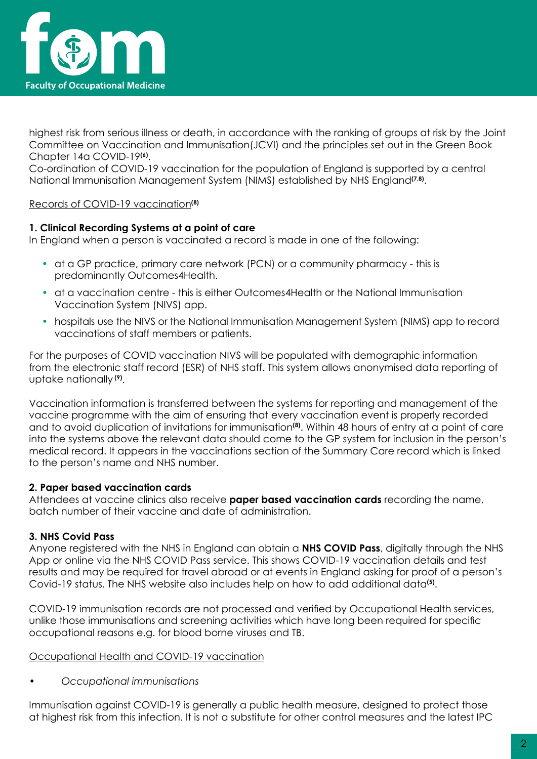

highest risk from serious illness or death, in accordance with the ranking of groups at risk by the Joint Committee on Vaccination and Immunisation(JCVI) and the principles set out in the Green Book Chapter 14a COVID-19**(6)**.

Co-ordination of COVID-19 vaccination for the population of England is supported by a central National Immunisation Management System (NIMS) established by NHS England**(7,8)**.

## Records of COVID-19 vaccination**(8)**

## **1. Clinical Recording Systems at a point of care**

In England when a person is vaccinated a record is made in one of the following:

- at a GP practice, primary care network (PCN) or a community pharmacy this is predominantly Outcomes4Health.
- at a vaccination centre this is either Outcomes4Health or the National Immunisation Vaccination System (NIVS) app.
- hospitals use the NIVS or the National Immunisation Management System (NIMS) app to record vaccinations of staff members or patients.

For the purposes of COVID vaccination NIVS will be populated with demographic information from the electronic staff record (ESR) of NHS staff. This system allows anonymised data reporting of uptake nationally **(9)**.

Vaccination information is transferred between the systems for reporting and management of the vaccine programme with the aim of ensuring that every vaccination event is properly recorded and to avoid duplication of invitations for immunisation<sup>(8)</sup>. Within 48 hours of entry at a point of care into the systems above the relevant data should come to the GP system for inclusion in the person's medical record. It appears in the vaccinations section of the Summary Care record which is linked to the person's name and NHS number.

# **2. Paper based vaccination cards**

Attendees at vaccine clinics also receive **paper based vaccination cards** recording the name, batch number of their vaccine and date of administration.

# **3. NHS Covid Pass**

Anyone registered with the NHS in England can obtain a **NHS COVID Pass**, digitally through the NHS App or online via the NHS COVID Pass service. This shows COVID-19 vaccination details and test results and may be required for travel abroad or at events in England asking for proof of a person's Covid-19 status. The NHS website also includes help on how to add additional data**(5)**.

COVID-19 immunisation records are not processed and verified by Occupational Health services, unlike those immunisations and screening activities which have long been required for specific occupational reasons e.g. for blood borne viruses and TB.

#### Occupational Health and COVID-19 vaccination

*• Occupational immunisations*

Immunisation against COVID-19 is generally a public health measure, designed to protect those at highest risk from this infection. It is not a substitute for other control measures and the latest IPC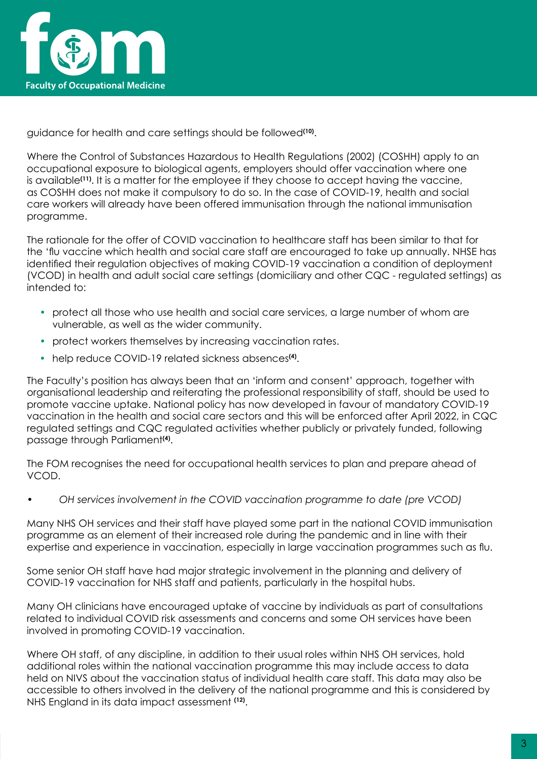

guidance for health and care settings should be followed**(10)**.

Where the Control of Substances Hazardous to Health Regulations (2002) (COSHH) apply to an occupational exposure to biological agents, employers should offer vaccination where one is available**(11)**. It is a matter for the employee if they choose to accept having the vaccine, as COSHH does not make it compulsory to do so. In the case of COVID-19, health and social care workers will already have been offered immunisation through the national immunisation programme.

The rationale for the offer of COVID vaccination to healthcare staff has been similar to that for the 'flu vaccine which health and social care staff are encouraged to take up annually. NHSE has identified their regulation objectives of making COVID-19 vaccination a condition of deployment (VCOD) in health and adult social care settings (domiciliary and other CQC - regulated settings) as intended to:

- protect all those who use health and social care services, a large number of whom are vulnerable, as well as the wider community.
- protect workers themselves by increasing vaccination rates.
- help reduce COVID-19 related sickness absences**(4)**.

The Faculty's position has always been that an 'inform and consent' approach, together with organisational leadership and reiterating the professional responsibility of staff, should be used to promote vaccine uptake. National policy has now developed in favour of mandatory COVID-19 vaccination in the health and social care sectors and this will be enforced after April 2022, in CQC regulated settings and CQC regulated activities whether publicly or privately funded, following passage through Parliament**(4)**.

The FOM recognises the need for occupational health services to plan and prepare ahead of VCOD.

• *OH services involvement in the COVID vaccination programme to date (pre VCOD)*

Many NHS OH services and their staff have played some part in the national COVID immunisation programme as an element of their increased role during the pandemic and in line with their expertise and experience in vaccination, especially in large vaccination programmes such as flu.

Some senior OH staff have had major strategic involvement in the planning and delivery of COVID-19 vaccination for NHS staff and patients, particularly in the hospital hubs.

Many OH clinicians have encouraged uptake of vaccine by individuals as part of consultations related to individual COVID risk assessments and concerns and some OH services have been involved in promoting COVID-19 vaccination.

Where OH staff, of any discipline, in addition to their usual roles within NHS OH services, hold additional roles within the national vaccination programme this may include access to data held on NIVS about the vaccination status of individual health care staff. This data may also be accessible to others involved in the delivery of the national programme and this is considered by NHS England in its data impact assessment **(12)**.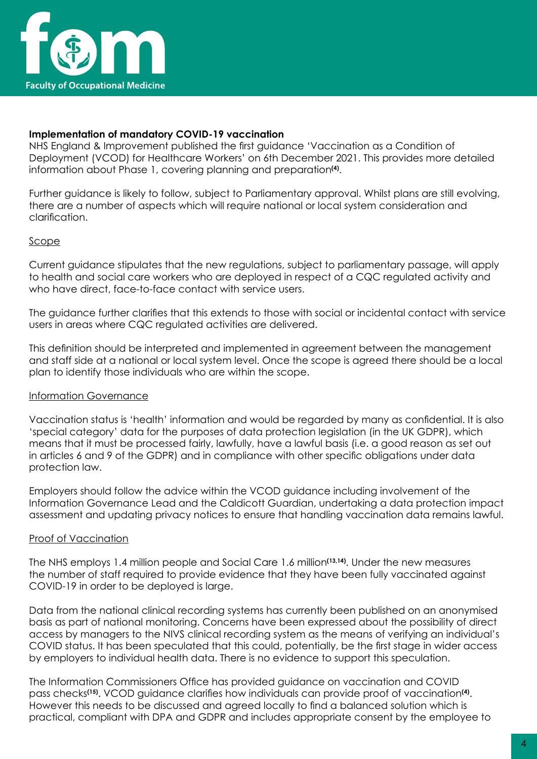

## **Implementation of mandatory COVID-19 vaccination**

NHS England & Improvement published the first guidance 'Vaccination as a Condition of Deployment (VCOD) for Healthcare Workers' on 6th December 2021. This provides more detailed information about Phase 1, covering planning and preparation**(4)**.

Further guidance is likely to follow, subject to Parliamentary approval. Whilst plans are still evolving, there are a number of aspects which will require national or local system consideration and clarification.

#### Scope

Current guidance stipulates that the new regulations, subject to parliamentary passage, will apply to health and social care workers who are deployed in respect of a CQC regulated activity and who have direct, face-to-face contact with service users.

The guidance further clarifies that this extends to those with social or incidental contact with service users in areas where CQC regulated activities are delivered.

This definition should be interpreted and implemented in agreement between the management and staff side at a national or local system level. Once the scope is agreed there should be a local plan to identify those individuals who are within the scope.

#### Information Governance

Vaccination status is 'health' information and would be regarded by many as confidential. It is also 'special category' data for the purposes of data protection legislation (in the UK GDPR), which means that it must be processed fairly, lawfully, have a lawful basis (i.e. a good reason as set out in articles 6 and 9 of the GDPR) and in compliance with other specific obligations under data protection law.

Employers should follow the advice within the VCOD guidance including involvement of the Information Governance Lead and the Caldicott Guardian, undertaking a data protection impact assessment and updating privacy notices to ensure that handling vaccination data remains lawful.

#### Proof of Vaccination

The NHS employs 1.4 million people and Social Care 1.6 million**(13,14)**. Under the new measures the number of staff required to provide evidence that they have been fully vaccinated against COVID-19 in order to be deployed is large.

Data from the national clinical recording systems has currently been published on an anonymised basis as part of national monitoring. Concerns have been expressed about the possibility of direct access by managers to the NIVS clinical recording system as the means of verifying an individual's COVID status. It has been speculated that this could, potentially, be the first stage in wider access by employers to individual health data. There is no evidence to support this speculation.

The Information Commissioners Office has provided guidance on vaccination and COVID pass checks**(15)**. VCOD guidance clarifies how individuals can provide proof of vaccination**(4)**. However this needs to be discussed and agreed locally to find a balanced solution which is practical, compliant with DPA and GDPR and includes appropriate consent by the employee to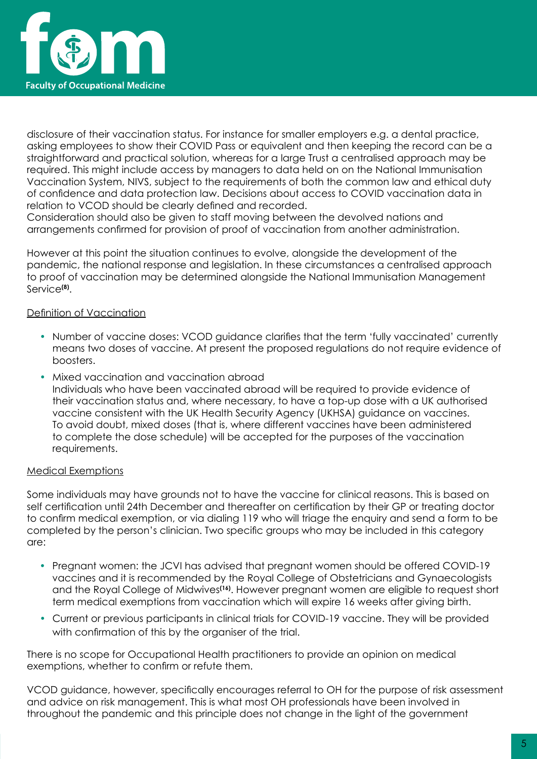

disclosure of their vaccination status. For instance for smaller employers e.g. a dental practice, asking employees to show their COVID Pass or equivalent and then keeping the record can be a straightforward and practical solution, whereas for a large Trust a centralised approach may be required. This might include access by managers to data held on on the National Immunisation Vaccination System, NIVS, subject to the requirements of both the common law and ethical duty of confidence and data protection law. Decisions about access to COVID vaccination data in relation to VCOD should be clearly defined and recorded.

Consideration should also be given to staff moving between the devolved nations and arrangements confirmed for provision of proof of vaccination from another administration.

However at this point the situation continues to evolve, alongside the development of the pandemic, the national response and legislation. In these circumstances a centralised approach to proof of vaccination may be determined alongside the National Immunisation Management Service**(8)**.

## Definition of Vaccination

- Number of vaccine doses: VCOD guidance clarifies that the term 'fully vaccinated' currently means two doses of vaccine. At present the proposed regulations do not require evidence of boosters.
- Mixed vaccination and vaccination abroad Individuals who have been vaccinated abroad will be required to provide evidence of their vaccination status and, where necessary, to have a top-up dose with a UK authorised vaccine consistent with the UK Health Security Agency (UKHSA) guidance on vaccines. To avoid doubt, mixed doses (that is, where different vaccines have been administered to complete the dose schedule) will be accepted for the purposes of the vaccination requirements.

#### Medical Exemptions

Some individuals may have grounds not to have the vaccine for clinical reasons. This is based on self certification until 24th December and thereafter on certification by their GP or treating doctor to confirm medical exemption, or via dialing 119 who will triage the enquiry and send a form to be completed by the person's clinician. Two specific groups who may be included in this category are:

- Pregnant women: the JCVI has advised that pregnant women should be offered COVID-19 vaccines and it is recommended by the Royal College of Obstetricians and Gynaecologists and the Royal College of Midwives**(16)**. However pregnant women are eligible to request short term medical exemptions from vaccination which will expire 16 weeks after giving birth.
- Current or previous participants in clinical trials for COVID-19 vaccine. They will be provided with confirmation of this by the organiser of the trial.

There is no scope for Occupational Health practitioners to provide an opinion on medical exemptions, whether to confirm or refute them.

VCOD guidance, however, specifically encourages referral to OH for the purpose of risk assessment and advice on risk management. This is what most OH professionals have been involved in throughout the pandemic and this principle does not change in the light of the government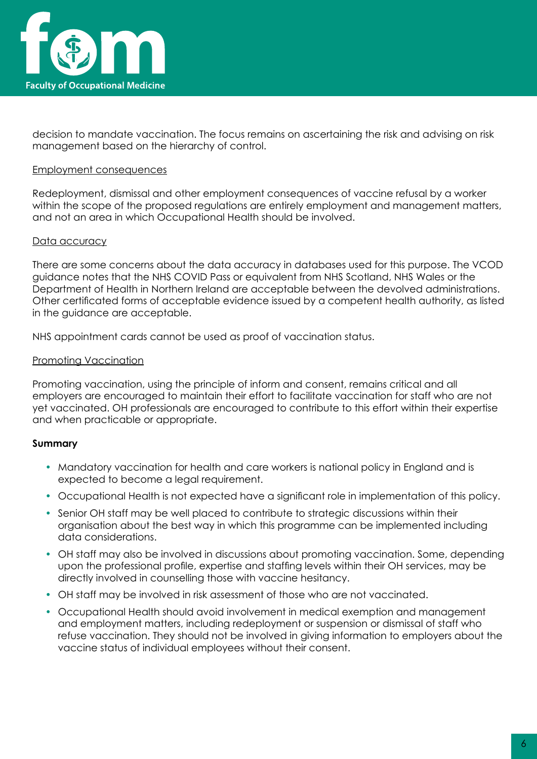

decision to mandate vaccination. The focus remains on ascertaining the risk and advising on risk management based on the hierarchy of control.

### Employment consequences

Redeployment, dismissal and other employment consequences of vaccine refusal by a worker within the scope of the proposed regulations are entirely employment and management matters, and not an area in which Occupational Health should be involved.

## Data accuracy

There are some concerns about the data accuracy in databases used for this purpose. The VCOD guidance notes that the NHS COVID Pass or equivalent from NHS Scotland, NHS Wales or the Department of Health in Northern Ireland are acceptable between the devolved administrations. Other certificated forms of acceptable evidence issued by a competent health authority, as listed in the guidance are acceptable.

NHS appointment cards cannot be used as proof of vaccination status.

#### Promoting Vaccination

Promoting vaccination, using the principle of inform and consent, remains critical and all employers are encouraged to maintain their effort to facilitate vaccination for staff who are not yet vaccinated. OH professionals are encouraged to contribute to this effort within their expertise and when practicable or appropriate.

#### **Summary**

- Mandatory vaccination for health and care workers is national policy in England and is expected to become a legal requirement.
- Occupational Health is not expected have a significant role in implementation of this policy.
- Senior OH staff may be well placed to contribute to strategic discussions within their organisation about the best way in which this programme can be implemented including data considerations.
- OH staff may also be involved in discussions about promoting vaccination. Some, depending upon the professional profile, expertise and staffing levels within their OH services, may be directly involved in counselling those with vaccine hesitancy.
- OH staff may be involved in risk assessment of those who are not vaccinated.
- Occupational Health should avoid involvement in medical exemption and management and employment matters, including redeployment or suspension or dismissal of staff who refuse vaccination. They should not be involved in giving information to employers about the vaccine status of individual employees without their consent.